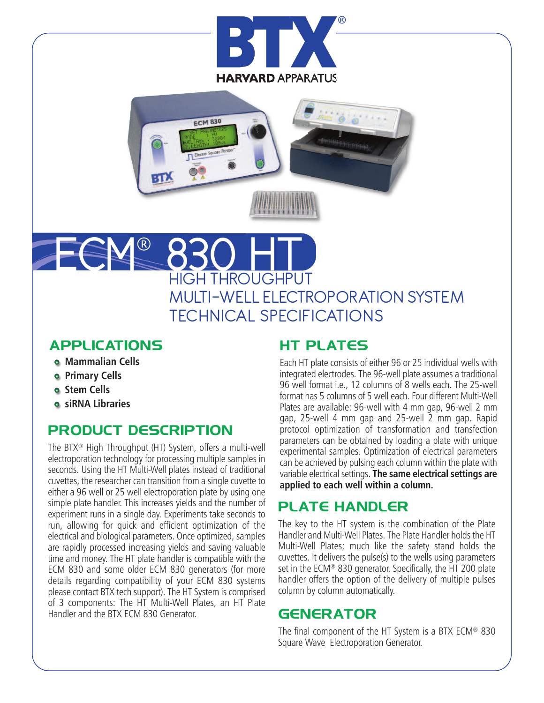



# HROUGHPUT MULTI-WELL ELECTROPORATION SYSTEM TECHNICAL SPECIFICATIONS ECM® 830 HT

## **APPLICATIONS**

- **Mammalian Cells**
- **Primary Cells**
- **Stem Cells**
- **siRNA Libraries**

## **PRODUCT DESCRIPTION**

The BTX® High Throughput (HT) System, offers a multi-well electroporation technology for processing multiple samples in seconds. Using the HT Multi-Well plates instead of traditional cuvettes, the researcher can transition from a single cuvette to either a 96 well or 25 well electroporation plate by using one simple plate handler. This increases yields and the number of experiment runs in a single day. Experiments take seconds to run, allowing for quick and efficient optimization of the electrical and biological parameters. Once optimized, samples are rapidly processed increasing yields and saving valuable time and money. The HT plate handler is compatible with the ECM 830 and some older ECM 830 generators (for more details regarding compatibility of your ECM 830 systems please contact BTX tech support). The HT System is comprised of 3 components: The HT Multi-Well Plates, an HT Plate Handler and the BTX ECM 830 Generator.

## **HT PLATES**

Each HT plate consists of either 96 or 25 individual wells with integrated electrodes. The 96-well plate assumes a traditional 96 well format i.e., 12 columns of 8 wells each. The 25-well format has 5 columns of 5 well each. Four different Multi-Well Plates are available: 96-well with 4 mm gap, 96-well 2 mm gap, 25-well 4 mm gap and 25-well 2 mm gap. Rapid protocol optimization of transformation and transfection parameters can be obtained by loading a plate with unique experimental samples. Optimization of electrical parameters can be achieved by pulsing each column within the plate with variable electrical settings. **The same electrical settings are applied to each well within a column.**

## **PLATE HANDLER**

The key to the HT system is the combination of the Plate Handler and Multi-Well Plates. The Plate Handler holds the HT Multi-Well Plates; much like the safety stand holds the cuvettes. It delivers the pulse(s) to the wells using parameters set in the ECM® 830 generator. Specifically, the HT 200 plate handler offers the option of the delivery of multiple pulses column by column automatically.

## **GENERATOR**

The final component of the HT System is a BTX ECM® 830 Square Wave Electroporation Generator.